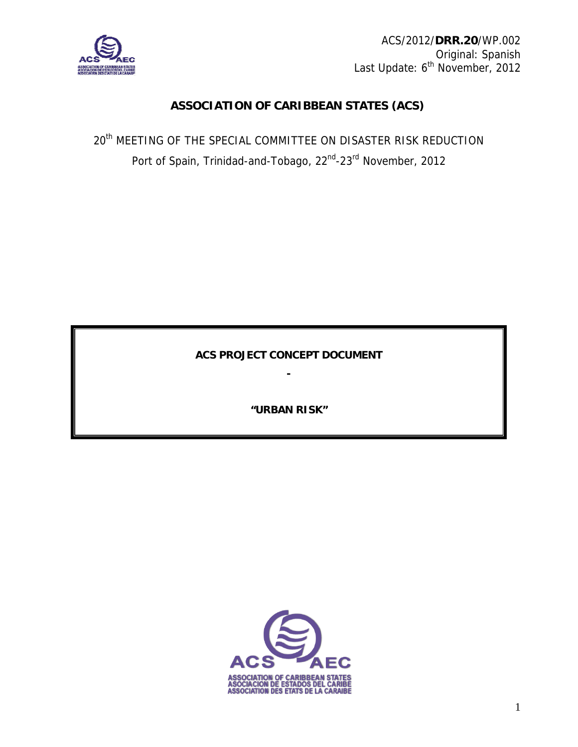

ACS/2012/**DRR.20**/WP.002 Original: Spanish Last Update: 6<sup>th</sup> November, 2012

# **ASSOCIATION OF CARIBBEAN STATES (ACS)**

20<sup>th</sup> MEETING OF THE SPECIAL COMMITTEE ON DISASTER RISK REDUCTION Port of Spain, Trinidad-and-Tobago, 22<sup>nd</sup>-23<sup>rd</sup> November, 2012

**ACS PROJECT CONCEPT DOCUMENT** 

**-** 

**"URBAN RISK"**

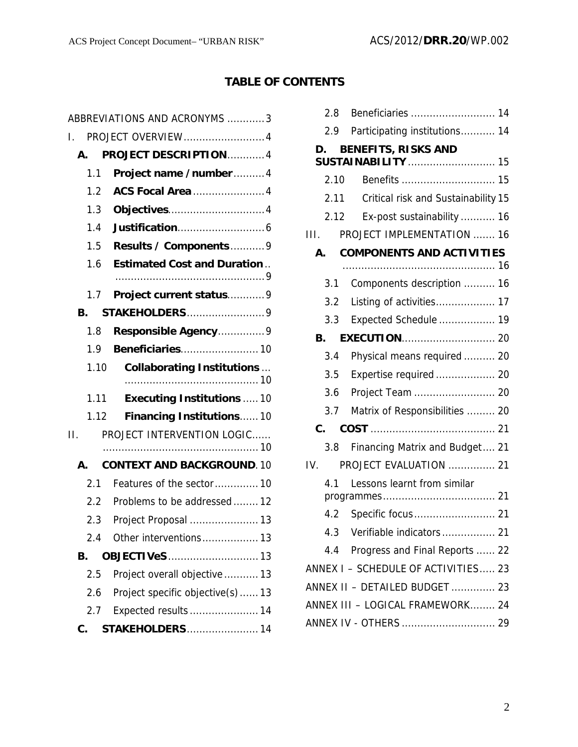# **TABLE OF CONTENTS**

| ABBREVIATIONS AND ACRONYMS 3 |                                    |  |  |
|------------------------------|------------------------------------|--|--|
| PROJECT OVERVIEW4<br>T.      |                                    |  |  |
| А.                           | PROJECT DESCRIPTION  4             |  |  |
| 1.1                          | Project name /number4              |  |  |
| 1.2                          | <b>ACS Focal Area 4</b>            |  |  |
| 1.3                          |                                    |  |  |
| 1.4                          |                                    |  |  |
| 1.5                          | Results / Components9              |  |  |
| 1.6                          | <b>Estimated Cost and Duration</b> |  |  |
|                              |                                    |  |  |
| 1.7                          | Project current status9            |  |  |
| В.                           | STAKEHOLDERS9                      |  |  |
| 1.8                          | Responsible Agency9                |  |  |
| 1.9                          | Beneficiaries 10                   |  |  |
| 1.10                         | <b>Collaborating Institutions</b>  |  |  |
| $1.11 -$                     | <b>Executing Institutions  10</b>  |  |  |
| 1.12                         | Financing Institutions10           |  |  |
| $\Pi$ .                      | PROJECT INTERVENTION LOGIC         |  |  |
|                              |                                    |  |  |
| A.                           | <b>CONTEXT AND BACKGROUND. 10</b>  |  |  |
| 2.1                          | Features of the sector10           |  |  |
| $2.2^{\circ}$                | Problems to be addressed  12       |  |  |
| $2.3 -$                      | Project Proposal  13               |  |  |
| 2.4                          | Other interventions 13             |  |  |
| В.                           | <b>OBJECTIVeS</b> 13               |  |  |
| 2.5                          | Project overall objective  13      |  |  |
| 2.6                          | Project specific objective(s)13    |  |  |
| 2.7                          | Expected results  14               |  |  |
| C.                           | <b>STAKEHOLDERS</b> 14             |  |  |

|      | 2.8            |                                     |
|------|----------------|-------------------------------------|
|      | 2.9            | Participating institutions 14       |
|      | D.             | <b>BENEFITS, RISKS AND</b>          |
|      |                | <b>SUSTAINABILITY</b> 15            |
|      | 2.10           |                                     |
|      | 2.11           | Critical risk and Sustainability 15 |
|      | 2.12           | Ex-post sustainability  16          |
| III. |                | <b>PROJECT IMPLEMENTATION  16</b>   |
|      | A.             | <b>COMPONENTS AND ACTIVITIES</b>    |
|      |                |                                     |
|      | 3.1            | Components description  16          |
|      | 3.2            | Listing of activities 17            |
|      | 3.3            | Expected Schedule  19               |
|      | В.             |                                     |
|      | 3.4            | Physical means required  20         |
|      | 3.5            | Expertise required  20              |
|      | 3.6            | Project Team  20                    |
|      | 3.7            | Matrix of Responsibilities  20      |
|      | $\mathbf{C}$ . |                                     |
|      | 3.8            | Financing Matrix and Budget 21      |
| IV.  |                | PROJECT EVALUATION  21              |
|      | 4.1            | Lessons learnt from similar         |
|      |                |                                     |
|      |                |                                     |
|      |                |                                     |
|      |                | 4.4 Progress and Final Reports  22  |
|      |                | ANNEX I - SCHEDULE OF ACTIVITIES 23 |
|      |                | ANNEX II - DETAILED BUDGET  23      |
|      |                | ANNEX III - LOGICAL FRAMEWORK 24    |
|      |                | ANNEX IV - OTHERS  29               |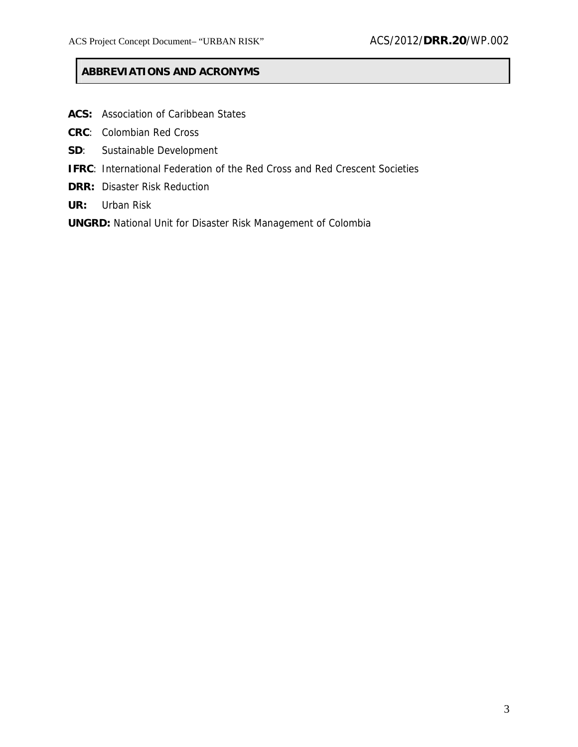## **ABBREVIATIONS AND ACRONYMS**

- **ACS:** Association of Caribbean States
- **CRC**: Colombian Red Cross
- **SD**: Sustainable Development
- **IFRC**: International Federation of the Red Cross and Red Crescent Societies
- **DRR:** Disaster Risk Reduction
- **UR:** Urban Risk
- **UNGRD:** National Unit for Disaster Risk Management of Colombia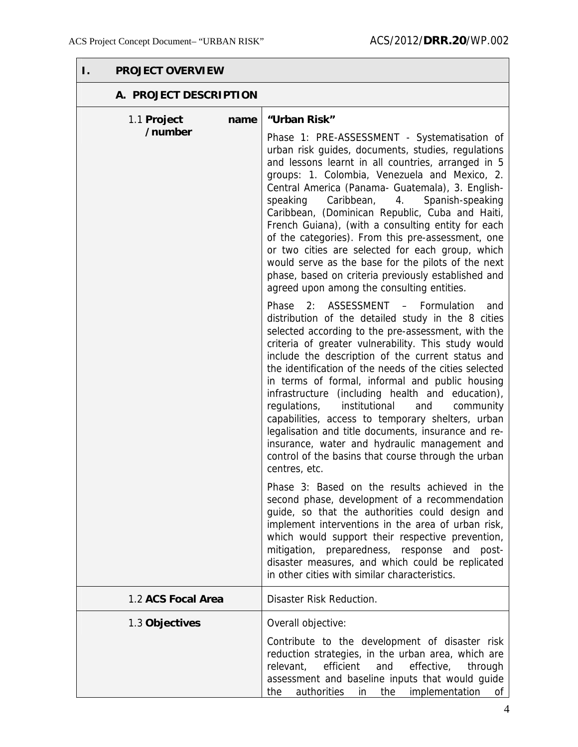| <b>PROJECT OVERVIEW</b><br>I.  |                                                                                                                                                                                                                                                                                                                                                                                                                                                                                                                                                                                                                                                                                                                                   |  |  |  |
|--------------------------------|-----------------------------------------------------------------------------------------------------------------------------------------------------------------------------------------------------------------------------------------------------------------------------------------------------------------------------------------------------------------------------------------------------------------------------------------------------------------------------------------------------------------------------------------------------------------------------------------------------------------------------------------------------------------------------------------------------------------------------------|--|--|--|
| A. PROJECT DESCRIPTION         |                                                                                                                                                                                                                                                                                                                                                                                                                                                                                                                                                                                                                                                                                                                                   |  |  |  |
| 1.1 Project<br>name<br>/number | "Urban Risk"                                                                                                                                                                                                                                                                                                                                                                                                                                                                                                                                                                                                                                                                                                                      |  |  |  |
|                                | Phase 1: PRE-ASSESSMENT - Systematisation of<br>urban risk guides, documents, studies, regulations<br>and lessons learnt in all countries, arranged in 5<br>groups: 1. Colombia, Venezuela and Mexico, 2.<br>Central America (Panama- Guatemala), 3. English-<br>Caribbean, 4. Spanish-speaking<br>speaking<br>Caribbean, (Dominican Republic, Cuba and Haiti,<br>French Guiana), (with a consulting entity for each<br>of the categories). From this pre-assessment, one<br>or two cities are selected for each group, which<br>would serve as the base for the pilots of the next<br>phase, based on criteria previously established and<br>agreed upon among the consulting entities.                                          |  |  |  |
|                                | ASSESSMENT - Formulation<br>Phase<br>2:<br>and<br>distribution of the detailed study in the 8 cities<br>selected according to the pre-assessment, with the<br>criteria of greater vulnerability. This study would<br>include the description of the current status and<br>the identification of the needs of the cities selected<br>in terms of formal, informal and public housing<br>infrastructure (including health and education),<br>institutional<br>regulations,<br>and<br>community<br>capabilities, access to temporary shelters, urban<br>legalisation and title documents, insurance and re-<br>insurance, water and hydraulic management and<br>control of the basins that course through the urban<br>centres, etc. |  |  |  |
|                                | Phase 3: Based on the results achieved in the<br>second phase, development of a recommendation<br>guide, so that the authorities could design and<br>implement interventions in the area of urban risk,<br>which would support their respective prevention,<br>mitigation, preparedness, response and<br>post-<br>disaster measures, and which could be replicated<br>in other cities with similar characteristics.                                                                                                                                                                                                                                                                                                               |  |  |  |
| 1.2 ACS Focal Area             | Disaster Risk Reduction.                                                                                                                                                                                                                                                                                                                                                                                                                                                                                                                                                                                                                                                                                                          |  |  |  |
| 1.3 Objectives                 | Overall objective:<br>Contribute to the development of disaster risk<br>reduction strategies, in the urban area, which are<br>efficient<br>relevant,<br>and<br>effective,<br>through<br>assessment and baseline inputs that would guide<br>authorities<br>the<br>the<br>implementation<br>in<br>of                                                                                                                                                                                                                                                                                                                                                                                                                                |  |  |  |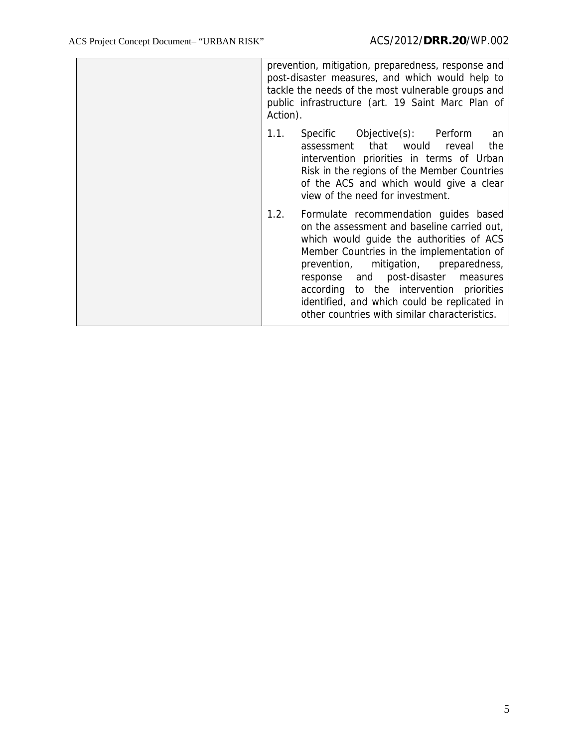| prevention, mitigation, preparedness, response and<br>post-disaster measures, and which would help to<br>tackle the needs of the most vulnerable groups and<br>public infrastructure (art. 19 Saint Marc Plan of<br>Action).                                                                                                                                                                                       |
|--------------------------------------------------------------------------------------------------------------------------------------------------------------------------------------------------------------------------------------------------------------------------------------------------------------------------------------------------------------------------------------------------------------------|
| 1.1.<br>Specific Objective(s): Perform<br>an<br>that would<br>the<br>assessment<br>reveal<br>intervention priorities in terms of Urban<br>Risk in the regions of the Member Countries<br>of the ACS and which would give a clear<br>view of the need for investment.                                                                                                                                               |
| 1.2.<br>Formulate recommendation guides based<br>on the assessment and baseline carried out,<br>which would guide the authorities of ACS<br>Member Countries in the implementation of<br>prevention, mitigation, preparedness,<br>response and post-disaster measures<br>according to the intervention priorities<br>identified, and which could be replicated in<br>other countries with similar characteristics. |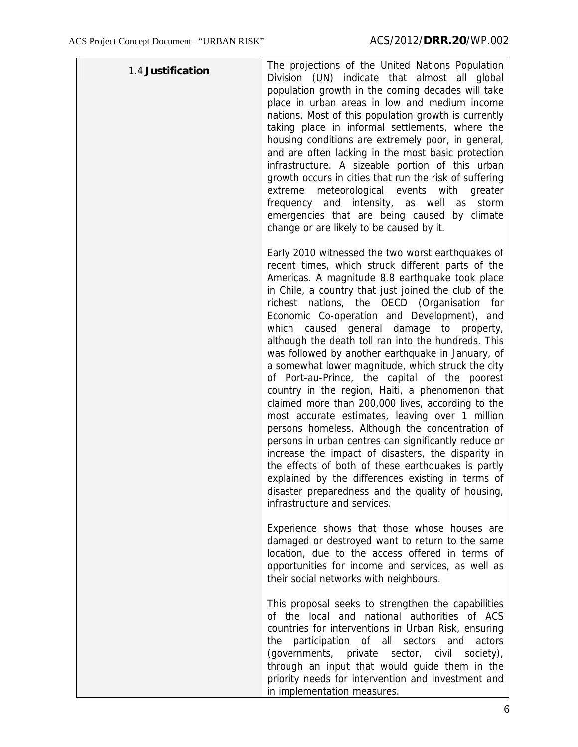| 1.4 Justification | The projections of the United Nations Population<br>Division (UN) indicate that almost all global<br>population growth in the coming decades will take<br>place in urban areas in low and medium income<br>nations. Most of this population growth is currently<br>taking place in informal settlements, where the<br>housing conditions are extremely poor, in general,<br>and are often lacking in the most basic protection<br>infrastructure. A sizeable portion of this urban<br>growth occurs in cities that run the risk of suffering<br>extreme<br>meteorological events with greater<br>frequency and intensity, as well as<br>storm<br>emergencies that are being caused by climate<br>change or are likely to be caused by it.                                                                                                                                                                                                                                                                                                                                                                 |
|-------------------|-----------------------------------------------------------------------------------------------------------------------------------------------------------------------------------------------------------------------------------------------------------------------------------------------------------------------------------------------------------------------------------------------------------------------------------------------------------------------------------------------------------------------------------------------------------------------------------------------------------------------------------------------------------------------------------------------------------------------------------------------------------------------------------------------------------------------------------------------------------------------------------------------------------------------------------------------------------------------------------------------------------------------------------------------------------------------------------------------------------|
|                   | Early 2010 witnessed the two worst earthquakes of<br>recent times, which struck different parts of the<br>Americas. A magnitude 8.8 earthquake took place<br>in Chile, a country that just joined the club of the<br>richest nations, the OECD (Organisation for<br>Economic Co-operation and Development), and<br>which caused general damage to property,<br>although the death toll ran into the hundreds. This<br>was followed by another earthquake in January, of<br>a somewhat lower magnitude, which struck the city<br>of Port-au-Prince, the capital of the poorest<br>country in the region, Haiti, a phenomenon that<br>claimed more than 200,000 lives, according to the<br>most accurate estimates, leaving over 1 million<br>persons homeless. Although the concentration of<br>persons in urban centres can significantly reduce or<br>increase the impact of disasters, the disparity in<br>the effects of both of these earthquakes is partly<br>explained by the differences existing in terms of<br>disaster preparedness and the quality of housing,<br>infrastructure and services. |
|                   | Experience shows that those whose houses are<br>damaged or destroyed want to return to the same<br>location, due to the access offered in terms of<br>opportunities for income and services, as well as<br>their social networks with neighbours.                                                                                                                                                                                                                                                                                                                                                                                                                                                                                                                                                                                                                                                                                                                                                                                                                                                         |
|                   | This proposal seeks to strengthen the capabilities<br>of the local and national authorities of ACS<br>countries for interventions in Urban Risk, ensuring<br>participation of all sectors and<br>the<br>actors<br>(governments, private sector, civil society),<br>through an input that would guide them in the<br>priority needs for intervention and investment and<br>in implementation measures.                                                                                                                                                                                                                                                                                                                                                                                                                                                                                                                                                                                                                                                                                                     |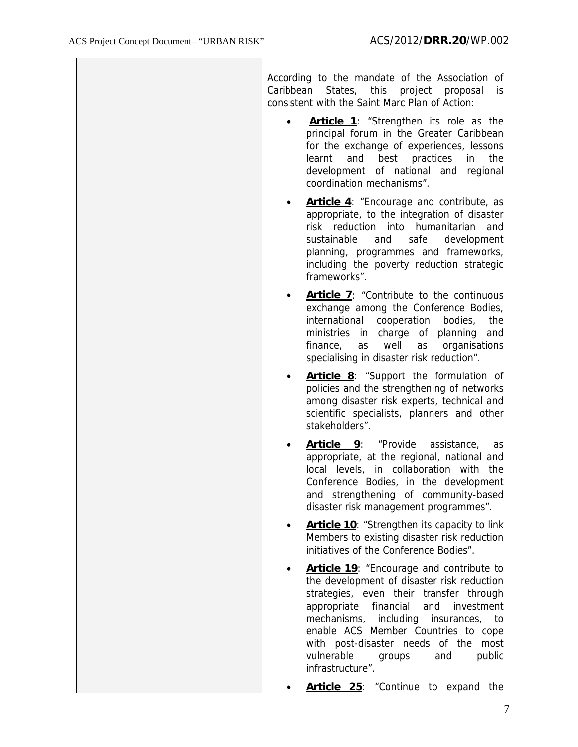|           | According to the mandate of the Association of<br>Caribbean States, this<br>project<br>proposal<br>is<br>consistent with the Saint Marc Plan of Action:                                                                                                                                                                                                                      |
|-----------|------------------------------------------------------------------------------------------------------------------------------------------------------------------------------------------------------------------------------------------------------------------------------------------------------------------------------------------------------------------------------|
| $\bullet$ | <b>Article 1:</b> "Strengthen its role as the<br>principal forum in the Greater Caribbean<br>for the exchange of experiences, lessons<br>and<br>best<br>practices<br>the<br>learnt<br>in<br>development of national and regional<br>coordination mechanisms".                                                                                                                |
|           | <b>Article 4:</b> "Encourage and contribute, as<br>appropriate, to the integration of disaster<br>risk reduction into humanitarian<br>and<br>safe<br>sustainable<br>and<br>development<br>planning, programmes and frameworks,<br>including the poverty reduction strategic<br>frameworks".                                                                                  |
| ٠         | <b>Article 7:</b> "Contribute to the continuous<br>exchange among the Conference Bodies,<br>international<br>cooperation<br>bodies,<br>the<br>ministries in charge of<br>planning<br>and<br>finance,<br>well<br>organisations<br>as<br>as<br>specialising in disaster risk reduction".                                                                                       |
| ٠         | Article 8: "Support the formulation of<br>policies and the strengthening of networks<br>among disaster risk experts, technical and<br>scientific specialists, planners and other<br>stakeholders".                                                                                                                                                                           |
|           | Article 9:<br>"Provide<br>assistance,<br>as<br>appropriate, at the regional, national and<br>local levels, in collaboration with<br>the<br>Conference Bodies, in the development<br>and strengthening of community-based<br>disaster risk management programmes".                                                                                                            |
| ٠         | Article 10: "Strengthen its capacity to link<br>Members to existing disaster risk reduction<br>initiatives of the Conference Bodies".                                                                                                                                                                                                                                        |
|           | Article 19: "Encourage and contribute to<br>the development of disaster risk reduction<br>strategies, even their transfer through<br>appropriate<br>financial<br>and<br>investment<br>mechanisms,<br>including insurances, to<br>enable ACS Member Countries to cope<br>with post-disaster needs of the<br>most<br>vulnerable<br>public<br>and<br>groups<br>infrastructure". |
|           | Article 25: "Continue to expand<br>the                                                                                                                                                                                                                                                                                                                                       |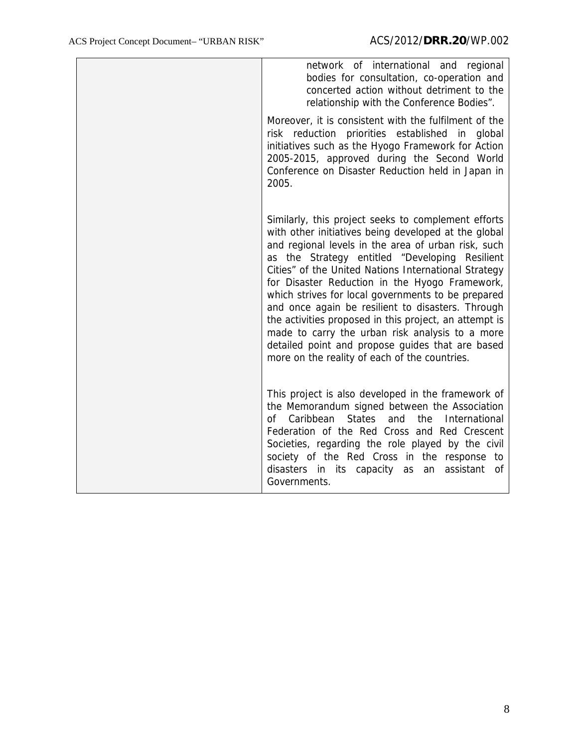| network of international and regional<br>bodies for consultation, co-operation and<br>concerted action without detriment to the<br>relationship with the Conference Bodies".                                                                                                                                                                                                                                                                                                                                                                                                                                                                                |
|-------------------------------------------------------------------------------------------------------------------------------------------------------------------------------------------------------------------------------------------------------------------------------------------------------------------------------------------------------------------------------------------------------------------------------------------------------------------------------------------------------------------------------------------------------------------------------------------------------------------------------------------------------------|
| Moreover, it is consistent with the fulfilment of the<br>risk reduction priorities established in global<br>initiatives such as the Hyogo Framework for Action<br>2005-2015, approved during the Second World<br>Conference on Disaster Reduction held in Japan in<br>2005.                                                                                                                                                                                                                                                                                                                                                                                 |
| Similarly, this project seeks to complement efforts<br>with other initiatives being developed at the global<br>and regional levels in the area of urban risk, such<br>as the Strategy entitled "Developing Resilient<br>Cities" of the United Nations International Strategy<br>for Disaster Reduction in the Hyogo Framework,<br>which strives for local governments to be prepared<br>and once again be resilient to disasters. Through<br>the activities proposed in this project, an attempt is<br>made to carry the urban risk analysis to a more<br>detailed point and propose guides that are based<br>more on the reality of each of the countries. |
| This project is also developed in the framework of<br>the Memorandum signed between the Association<br>Caribbean<br><b>States</b><br>and<br>the<br>International<br>Ωf<br>Federation of the Red Cross and Red Crescent<br>Societies, regarding the role played by the civil<br>society of the Red Cross in the response to<br>disasters in its capacity as<br>assistant<br>an<br>of<br>Governments.                                                                                                                                                                                                                                                         |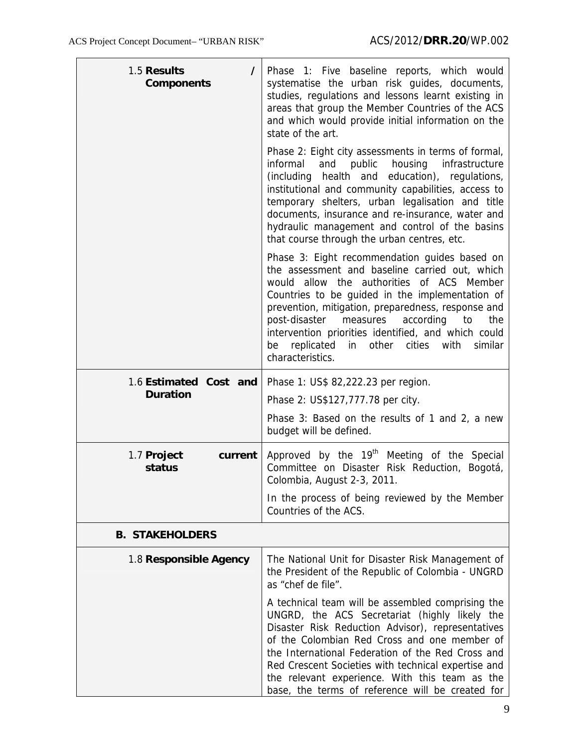| 1.5 Results<br>$\prime$<br><b>Components</b> | Phase 1: Five baseline reports, which would<br>systematise the urban risk guides, documents,<br>studies, regulations and lessons learnt existing in<br>areas that group the Member Countries of the ACS<br>and which would provide initial information on the<br>state of the art.                                                                                                                                                                      |
|----------------------------------------------|---------------------------------------------------------------------------------------------------------------------------------------------------------------------------------------------------------------------------------------------------------------------------------------------------------------------------------------------------------------------------------------------------------------------------------------------------------|
|                                              | Phase 2: Eight city assessments in terms of formal,<br>public<br>housing<br>informal<br>and<br>infrastructure<br>health and<br>education), regulations,<br>(including)<br>institutional and community capabilities, access to<br>temporary shelters, urban legalisation and title<br>documents, insurance and re-insurance, water and<br>hydraulic management and control of the basins<br>that course through the urban centres, etc.                  |
|                                              | Phase 3: Eight recommendation guides based on<br>the assessment and baseline carried out, which<br>would allow the authorities of ACS Member<br>Countries to be guided in the implementation of<br>prevention, mitigation, preparedness, response and<br>post-disaster<br>measures<br>according<br>to<br>the<br>intervention priorities identified, and which could<br>replicated<br>cities<br>similar<br>other<br>with<br>be<br>in<br>characteristics. |
| 1.6 Estimated Cost and                       | Phase 1: US\$ 82,222.23 per region.                                                                                                                                                                                                                                                                                                                                                                                                                     |
| <b>Duration</b>                              | Phase 2: US\$127,777.78 per city.                                                                                                                                                                                                                                                                                                                                                                                                                       |
|                                              | Phase 3: Based on the results of 1 and 2, a new<br>budget will be defined.                                                                                                                                                                                                                                                                                                                                                                              |
| 1.7 Project<br>current<br>status             | Approved by the 19 <sup>th</sup> Meeting of the Special<br>Committee on Disaster Risk Reduction, Bogotá,<br>Colombia, August 2-3, 2011.                                                                                                                                                                                                                                                                                                                 |
|                                              | In the process of being reviewed by the Member<br>Countries of the ACS.                                                                                                                                                                                                                                                                                                                                                                                 |
| <b>B. STAKEHOLDERS</b>                       |                                                                                                                                                                                                                                                                                                                                                                                                                                                         |
| 1.8 Responsible Agency                       | The National Unit for Disaster Risk Management of<br>the President of the Republic of Colombia - UNGRD<br>as "chef de file".                                                                                                                                                                                                                                                                                                                            |
|                                              | A technical team will be assembled comprising the<br>UNGRD, the ACS Secretariat (highly likely the<br>Disaster Risk Reduction Advisor), representatives<br>of the Colombian Red Cross and one member of<br>the International Federation of the Red Cross and<br>Red Crescent Societies with technical expertise and<br>the relevant experience. With this team as the<br>base, the terms of reference will be created for                               |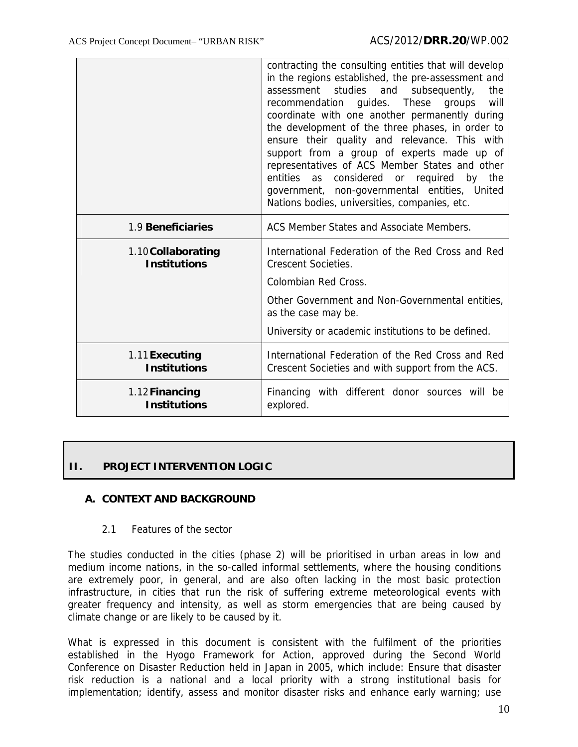|                                           | contracting the consulting entities that will develop<br>in the regions established, the pre-assessment and<br>assessment studies and<br>subsequently,<br>the<br>recommendation guides. These groups<br>will<br>coordinate with one another permanently during<br>the development of the three phases, in order to<br>ensure their quality and relevance. This with<br>support from a group of experts made up of<br>representatives of ACS Member States and other<br>considered or required<br>entities as<br>by the<br>government, non-governmental entities, United<br>Nations bodies, universities, companies, etc. |  |  |
|-------------------------------------------|--------------------------------------------------------------------------------------------------------------------------------------------------------------------------------------------------------------------------------------------------------------------------------------------------------------------------------------------------------------------------------------------------------------------------------------------------------------------------------------------------------------------------------------------------------------------------------------------------------------------------|--|--|
| 1.9 Beneficiaries                         | ACS Member States and Associate Members.                                                                                                                                                                                                                                                                                                                                                                                                                                                                                                                                                                                 |  |  |
| 1.10 Collaborating<br><b>Institutions</b> | International Federation of the Red Cross and Red<br><b>Crescent Societies.</b><br>Colombian Red Cross.<br>Other Government and Non-Governmental entities.<br>as the case may be.<br>University or academic institutions to be defined.                                                                                                                                                                                                                                                                                                                                                                                  |  |  |
| 1.11 Executing<br><b>Institutions</b>     | International Federation of the Red Cross and Red<br>Crescent Societies and with support from the ACS.                                                                                                                                                                                                                                                                                                                                                                                                                                                                                                                   |  |  |
| 1.12 Financing<br><b>Institutions</b>     | Financing with different donor sources will be<br>explored.                                                                                                                                                                                                                                                                                                                                                                                                                                                                                                                                                              |  |  |

## **II. PROJECT INTERVENTION LOGIC**

### **A. CONTEXT AND BACKGROUND**

2.1 Features of the sector

The studies conducted in the cities (phase 2) will be prioritised in urban areas in low and medium income nations, in the so-called informal settlements, where the housing conditions are extremely poor, in general, and are also often lacking in the most basic protection infrastructure, in cities that run the risk of suffering extreme meteorological events with greater frequency and intensity, as well as storm emergencies that are being caused by climate change or are likely to be caused by it.

What is expressed in this document is consistent with the fulfilment of the priorities established in the Hyogo Framework for Action, approved during the Second World Conference on Disaster Reduction held in Japan in 2005, which include: Ensure that disaster risk reduction is a national and a local priority with a strong institutional basis for implementation; identify, assess and monitor disaster risks and enhance early warning; use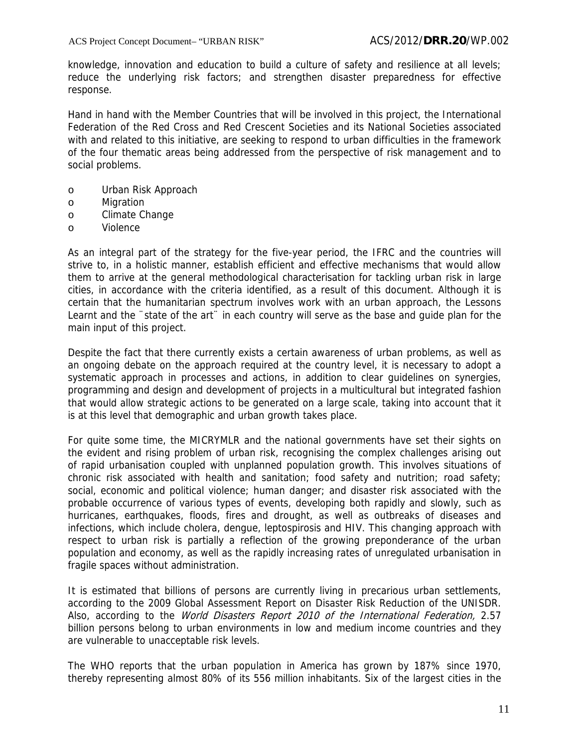knowledge, innovation and education to build a culture of safety and resilience at all levels; reduce the underlying risk factors; and strengthen disaster preparedness for effective response.

Hand in hand with the Member Countries that will be involved in this project, the International Federation of the Red Cross and Red Crescent Societies and its National Societies associated with and related to this initiative, are seeking to respond to urban difficulties in the framework of the four thematic areas being addressed from the perspective of risk management and to social problems.

- o Urban Risk Approach
- o Migration
- o Climate Change
- o Violence

As an integral part of the strategy for the five-year period, the IFRC and the countries will strive to, in a holistic manner, establish efficient and effective mechanisms that would allow them to arrive at the general methodological characterisation for tackling urban risk in large cities, in accordance with the criteria identified, as a result of this document. Although it is certain that the humanitarian spectrum involves work with an urban approach, the Lessons Learnt and the "state of the art" in each country will serve as the base and quide plan for the main input of this project.

Despite the fact that there currently exists a certain awareness of urban problems, as well as an ongoing debate on the approach required at the country level, it is necessary to adopt a systematic approach in processes and actions, in addition to clear guidelines on synergies, programming and design and development of projects in a multicultural but integrated fashion that would allow strategic actions to be generated on a large scale, taking into account that it is at this level that demographic and urban growth takes place.

For quite some time, the MICRYMLR and the national governments have set their sights on the evident and rising problem of urban risk, recognising the complex challenges arising out of rapid urbanisation coupled with unplanned population growth. This involves situations of chronic risk associated with health and sanitation; food safety and nutrition; road safety; social, economic and political violence; human danger; and disaster risk associated with the probable occurrence of various types of events, developing both rapidly and slowly, such as hurricanes, earthquakes, floods, fires and drought, as well as outbreaks of diseases and infections, which include cholera, dengue, leptospirosis and HIV. This changing approach with respect to urban risk is partially a reflection of the growing preponderance of the urban population and economy, as well as the rapidly increasing rates of unregulated urbanisation in fragile spaces without administration.

It is estimated that billions of persons are currently living in precarious urban settlements, according to the 2009 Global Assessment Report on Disaster Risk Reduction of the UNISDR. Also, according to the *World Disasters Report 2010 of the International Federation*, 2.57 billion persons belong to urban environments in low and medium income countries and they are vulnerable to unacceptable risk levels.

The WHO reports that the urban population in America has grown by 187% since 1970, thereby representing almost 80% of its 556 million inhabitants. Six of the largest cities in the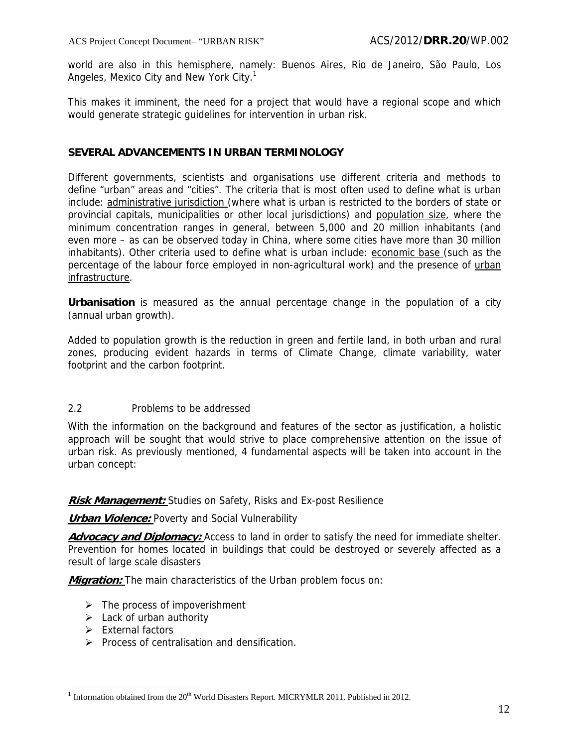world are also in this hemisphere, namely: Buenos Aires, Rio de Janeiro, São Paulo, Los Angeles, Mexico City and New York City.<sup>1</sup>

This makes it imminent, the need for a project that would have a regional scope and which would generate strategic guidelines for intervention in urban risk.

#### **SEVERAL ADVANCEMENTS IN URBAN TERMINOLOGY**

Different governments, scientists and organisations use different criteria and methods to define "urban" areas and "cities". The criteria that is most often used to define what is urban include: administrative jurisdiction (where what is urban is restricted to the borders of state or provincial capitals, municipalities or other local jurisdictions) and population size, where the minimum concentration ranges in general, between 5,000 and 20 million inhabitants (and even more – as can be observed today in China, where some cities have more than 30 million inhabitants). Other criteria used to define what is urban include: economic base (such as the percentage of the labour force employed in non-agricultural work) and the presence of urban infrastructure.

**Urbanisation** is measured as the annual percentage change in the population of a city (annual urban growth).

Added to population growth is the reduction in green and fertile land, in both urban and rural zones, producing evident hazards in terms of Climate Change, climate variability, water footprint and the carbon footprint.

#### 2.2 Problems to be addressed

With the information on the background and features of the sector as justification, a holistic approach will be sought that would strive to place comprehensive attention on the issue of urban risk. As previously mentioned, 4 fundamental aspects will be taken into account in the urban concept:

**Risk Management:** Studies on Safety, Risks and Ex-post Resilience

**Urban Violence:** Poverty and Social Vulnerability

**Advocacy and Diplomacy:** Access to land in order to satisfy the need for immediate shelter. Prevention for homes located in buildings that could be destroyed or severely affected as a result of large scale disasters

**Migration:** The main characteristics of the Urban problem focus on:

- $\triangleright$  The process of impoverishment
- $\triangleright$  Lack of urban authority
- $\triangleright$  External factors

 $\overline{a}$ 

 $\triangleright$  Process of centralisation and densification.

 $1$  Information obtained from the  $20<sup>th</sup>$  World Disasters Report. MICRYMLR 2011. Published in 2012.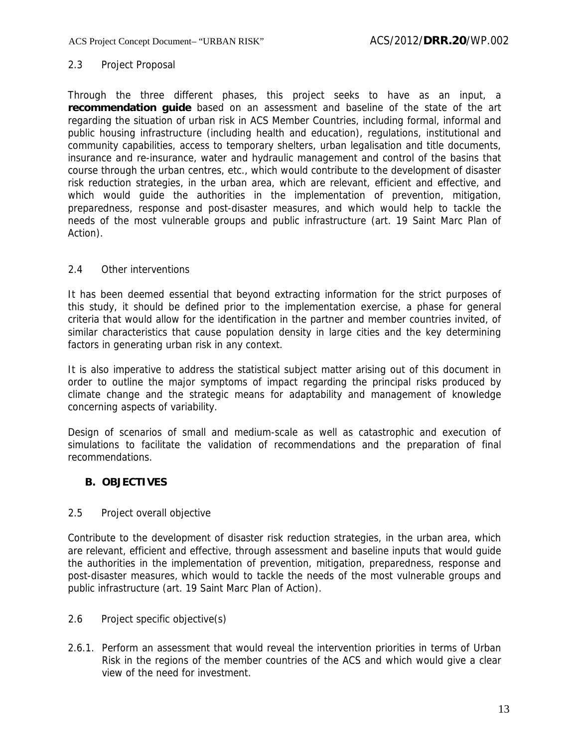#### 2.3 Project Proposal

Through the three different phases, this project seeks to have as an input, a **recommendation guide** based on an assessment and baseline of the state of the art regarding the situation of urban risk in ACS Member Countries, including formal, informal and public housing infrastructure (including health and education), regulations, institutional and community capabilities, access to temporary shelters, urban legalisation and title documents, insurance and re-insurance, water and hydraulic management and control of the basins that course through the urban centres, etc., which would contribute to the development of disaster risk reduction strategies, in the urban area, which are relevant, efficient and effective, and which would quide the authorities in the implementation of prevention, mitigation, preparedness, response and post-disaster measures, and which would help to tackle the needs of the most vulnerable groups and public infrastructure (art. 19 Saint Marc Plan of Action).

#### 2.4 Other interventions

It has been deemed essential that beyond extracting information for the strict purposes of this study, it should be defined prior to the implementation exercise, a phase for general criteria that would allow for the identification in the partner and member countries invited, of similar characteristics that cause population density in large cities and the key determining factors in generating urban risk in any context.

It is also imperative to address the statistical subject matter arising out of this document in order to outline the major symptoms of impact regarding the principal risks produced by climate change and the strategic means for adaptability and management of knowledge concerning aspects of variability.

Design of scenarios of small and medium-scale as well as catastrophic and execution of simulations to facilitate the validation of recommendations and the preparation of final recommendations.

### **B. OBJECTIVES**

#### 2.5 Project overall objective

Contribute to the development of disaster risk reduction strategies, in the urban area, which are relevant, efficient and effective, through assessment and baseline inputs that would guide the authorities in the implementation of prevention, mitigation, preparedness, response and post-disaster measures, which would to tackle the needs of the most vulnerable groups and public infrastructure (art. 19 Saint Marc Plan of Action).

- 2.6 Project specific objective(s)
- 2.6.1. Perform an assessment that would reveal the intervention priorities in terms of Urban Risk in the regions of the member countries of the ACS and which would give a clear view of the need for investment.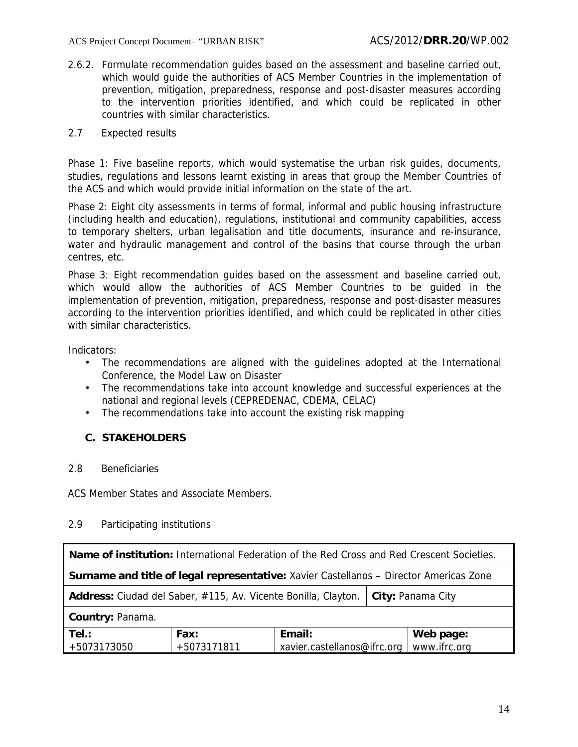2.6.2. Formulate recommendation guides based on the assessment and baseline carried out, which would guide the authorities of ACS Member Countries in the implementation of prevention, mitigation, preparedness, response and post-disaster measures according to the intervention priorities identified, and which could be replicated in other countries with similar characteristics.

#### 2.7 Expected results

Phase 1: Five baseline reports, which would systematise the urban risk guides, documents, studies, regulations and lessons learnt existing in areas that group the Member Countries of the ACS and which would provide initial information on the state of the art.

Phase 2: Eight city assessments in terms of formal, informal and public housing infrastructure (including health and education), regulations, institutional and community capabilities, access to temporary shelters, urban legalisation and title documents, insurance and re-insurance, water and hydraulic management and control of the basins that course through the urban centres, etc.

Phase 3: Eight recommendation guides based on the assessment and baseline carried out, which would allow the authorities of ACS Member Countries to be guided in the implementation of prevention, mitigation, preparedness, response and post-disaster measures according to the intervention priorities identified, and which could be replicated in other cities with similar characteristics.

Indicators:

- The recommendations are aligned with the guidelines adopted at the International Conference, the Model Law on Disaster
- The recommendations take into account knowledge and successful experiences at the national and regional levels (CEPREDENAC, CDEMA, CELAC)
- The recommendations take into account the existing risk mapping

### **C. STAKEHOLDERS**

#### 2.8 Beneficiaries

ACS Member States and Associate Members.

#### 2.9 Participating institutions

| Name of institution: International Federation of the Red Cross and Red Crescent Societies.    |                     |                                       |  |                           |
|-----------------------------------------------------------------------------------------------|---------------------|---------------------------------------|--|---------------------------|
| <b>Surname and title of legal representative:</b> Xavier Castellanos - Director Americas Zone |                     |                                       |  |                           |
| Address: Ciudad del Saber, #115, Av. Vicente Bonilla, Clayton.<br>City: Panama City           |                     |                                       |  |                           |
| Country: Panama.                                                                              |                     |                                       |  |                           |
| Tel.:<br>+5073173050                                                                          | Fax:<br>+5073171811 | Email:<br>xavier.castellanos@ifrc.org |  | Web page:<br>www.ifrc.org |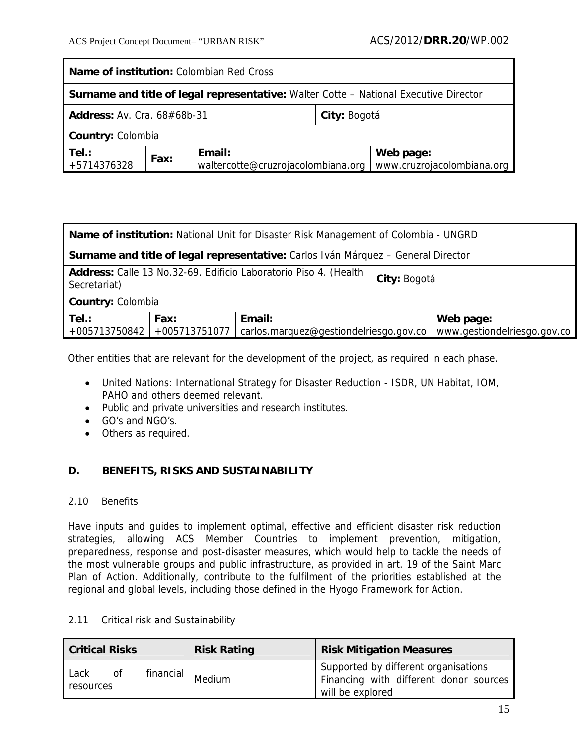| <b>Name of institution:</b> Colombian Red Cross                                              |      |                                              |  |                                         |
|----------------------------------------------------------------------------------------------|------|----------------------------------------------|--|-----------------------------------------|
| <b>Surname and title of legal representative:</b> Walter Cotte – National Executive Director |      |                                              |  |                                         |
| <b>Address: Av. Cra. 68#68b-31</b><br>City: Bogotá                                           |      |                                              |  |                                         |
| <b>Country: Colombia</b>                                                                     |      |                                              |  |                                         |
| Tel.:<br>+5714376328                                                                         | Fax: | Email:<br>waltercotte@cruzrojacolombiana.org |  | Web page:<br>www.cruzrojacolombiana.org |

| <b>Name of institution:</b> National Unit for Disaster Risk Management of Colombia - UNGRD                         |  |  |  |                             |
|--------------------------------------------------------------------------------------------------------------------|--|--|--|-----------------------------|
| Surname and title of legal representative: Carlos Iván Márquez - General Director                                  |  |  |  |                             |
| Address: Calle 13 No.32-69. Edificio Laboratorio Piso 4. (Health<br>City: Bogotá<br>Secretariat)                   |  |  |  |                             |
| Country: Colombia                                                                                                  |  |  |  |                             |
| Tel.:<br>Email:<br>Web page:<br>Fax:<br>+005713751077<br>$+005713750842$<br>carlos.marquez@gestiondelriesgo.gov.co |  |  |  | www.gestiondelriesgo.gov.co |

Other entities that are relevant for the development of the project, as required in each phase.

- United Nations: International Strategy for Disaster Reduction ISDR, UN Habitat, IOM, PAHO and others deemed relevant.
- Public and private universities and research institutes.
- GO's and NGO's.
- Others as required.

### **D. BENEFITS, RISKS AND SUSTAINABILITY**

#### 2.10 Benefits

Have inputs and guides to implement optimal, effective and efficient disaster risk reduction strategies, allowing ACS Member Countries to implement prevention, mitigation, preparedness, response and post-disaster measures, which would help to tackle the needs of the most vulnerable groups and public infrastructure, as provided in art. 19 of the Saint Marc Plan of Action. Additionally, contribute to the fulfilment of the priorities established at the regional and global levels, including those defined in the Hyogo Framework for Action.

#### 2.11 Critical risk and Sustainability

| <b>Critical Risks</b> |    | <b>Risk Rating</b> | <b>Risk Mitigation Measures</b>                                                                    |  |  |  |
|-----------------------|----|--------------------|----------------------------------------------------------------------------------------------------|--|--|--|
| Lack<br>resources     | οf | financial   Medium | Supported by different organisations<br>Financing with different donor sources<br>will be explored |  |  |  |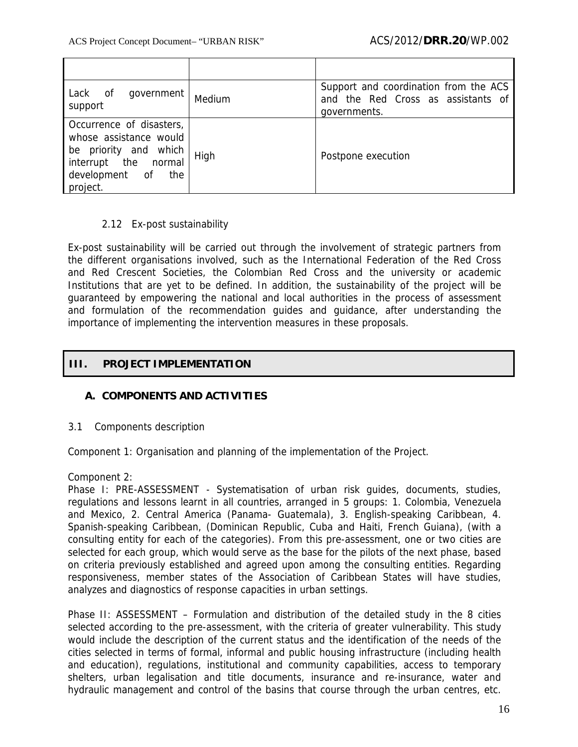| οf<br>government<br>Lack<br>support                                                                                                         | Medium | Support and coordination from the ACS<br>and the Red Cross as assistants of<br>governments. |
|---------------------------------------------------------------------------------------------------------------------------------------------|--------|---------------------------------------------------------------------------------------------|
| Occurrence of disasters,<br>whose assistance would<br>be priority and which<br>interrupt the<br>normal<br>development of<br>the<br>project. | High   | Postpone execution                                                                          |

### 2.12 Ex-post sustainability

Ex-post sustainability will be carried out through the involvement of strategic partners from the different organisations involved, such as the International Federation of the Red Cross and Red Crescent Societies, the Colombian Red Cross and the university or academic Institutions that are yet to be defined. In addition, the sustainability of the project will be guaranteed by empowering the national and local authorities in the process of assessment and formulation of the recommendation guides and guidance, after understanding the importance of implementing the intervention measures in these proposals.

### **III. PROJECT IMPLEMENTATION**

### **A. COMPONENTS AND ACTIVITIES**

### 3.1 Components description

Component 1: Organisation and planning of the implementation of the Project.

Component 2:

Phase I: PRE-ASSESSMENT - Systematisation of urban risk guides, documents, studies, regulations and lessons learnt in all countries, arranged in 5 groups: 1. Colombia, Venezuela and Mexico, 2. Central America (Panama- Guatemala), 3. English-speaking Caribbean, 4. Spanish-speaking Caribbean, (Dominican Republic, Cuba and Haiti, French Guiana), (with a consulting entity for each of the categories). From this pre-assessment, one or two cities are selected for each group, which would serve as the base for the pilots of the next phase, based on criteria previously established and agreed upon among the consulting entities. Regarding responsiveness, member states of the Association of Caribbean States will have studies, analyzes and diagnostics of response capacities in urban settings.

Phase II: ASSESSMENT – Formulation and distribution of the detailed study in the 8 cities selected according to the pre-assessment, with the criteria of greater vulnerability. This study would include the description of the current status and the identification of the needs of the cities selected in terms of formal, informal and public housing infrastructure (including health and education), regulations, institutional and community capabilities, access to temporary shelters, urban legalisation and title documents, insurance and re-insurance, water and hydraulic management and control of the basins that course through the urban centres, etc.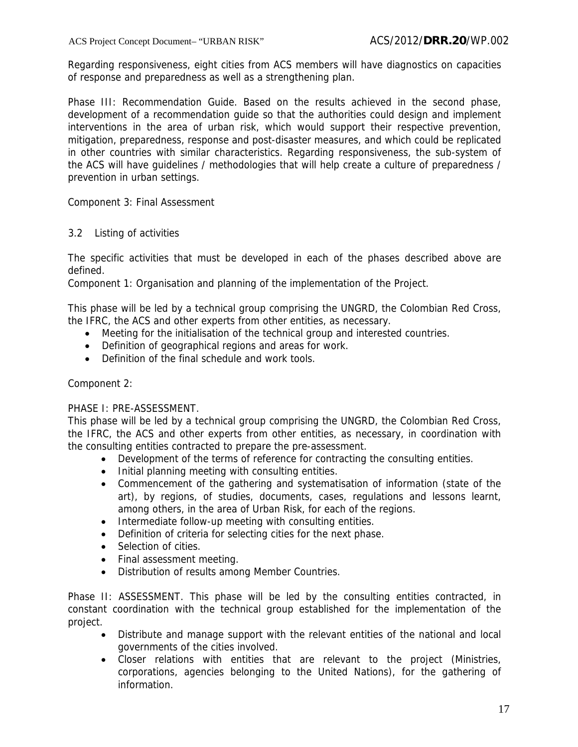Regarding responsiveness, eight cities from ACS members will have diagnostics on capacities of response and preparedness as well as a strengthening plan.

Phase III: Recommendation Guide. Based on the results achieved in the second phase, development of a recommendation guide so that the authorities could design and implement interventions in the area of urban risk, which would support their respective prevention, mitigation, preparedness, response and post-disaster measures, and which could be replicated in other countries with similar characteristics. Regarding responsiveness, the sub-system of the ACS will have guidelines / methodologies that will help create a culture of preparedness / prevention in urban settings.

Component 3: Final Assessment

### 3.2 Listing of activities

The specific activities that must be developed in each of the phases described above are defined.

Component 1: Organisation and planning of the implementation of the Project.

This phase will be led by a technical group comprising the UNGRD, the Colombian Red Cross, the IFRC, the ACS and other experts from other entities, as necessary.

- Meeting for the initialisation of the technical group and interested countries.
- Definition of geographical regions and areas for work.
- Definition of the final schedule and work tools.

### Component 2:

### PHASE I: PRE-ASSESSMENT.

This phase will be led by a technical group comprising the UNGRD, the Colombian Red Cross, the IFRC, the ACS and other experts from other entities, as necessary, in coordination with the consulting entities contracted to prepare the pre-assessment.

- Development of the terms of reference for contracting the consulting entities.
- Initial planning meeting with consulting entities.
- Commencement of the gathering and systematisation of information (state of the art), by regions, of studies, documents, cases, regulations and lessons learnt, among others, in the area of Urban Risk, for each of the regions.
- Intermediate follow-up meeting with consulting entities.
- Definition of criteria for selecting cities for the next phase.
- Selection of cities.
- Final assessment meeting.
- Distribution of results among Member Countries.

Phase II: ASSESSMENT. This phase will be led by the consulting entities contracted, in constant coordination with the technical group established for the implementation of the project.

- Distribute and manage support with the relevant entities of the national and local governments of the cities involved.
- Closer relations with entities that are relevant to the project (Ministries, corporations, agencies belonging to the United Nations), for the gathering of information.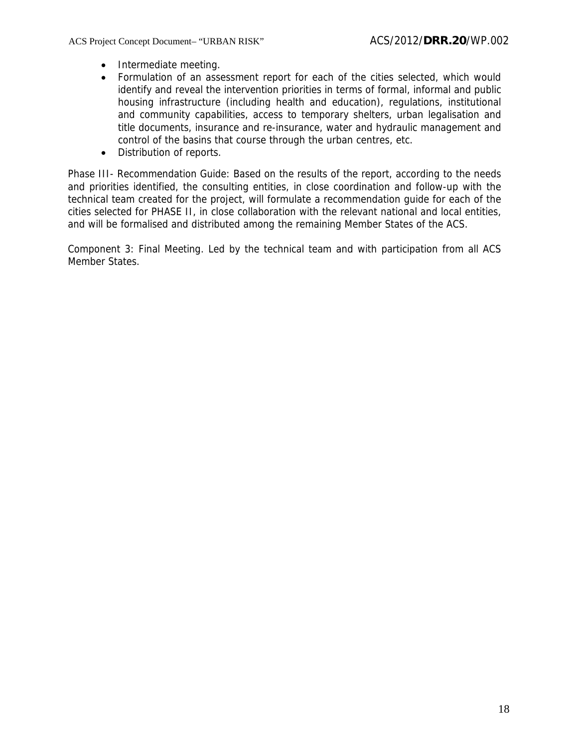- Intermediate meeting.
- Formulation of an assessment report for each of the cities selected, which would identify and reveal the intervention priorities in terms of formal, informal and public housing infrastructure (including health and education), regulations, institutional and community capabilities, access to temporary shelters, urban legalisation and title documents, insurance and re-insurance, water and hydraulic management and control of the basins that course through the urban centres, etc.
- Distribution of reports.

Phase III- Recommendation Guide: Based on the results of the report, according to the needs and priorities identified, the consulting entities, in close coordination and follow-up with the technical team created for the project, will formulate a recommendation guide for each of the cities selected for PHASE II, in close collaboration with the relevant national and local entities, and will be formalised and distributed among the remaining Member States of the ACS.

Component 3: Final Meeting. Led by the technical team and with participation from all ACS Member States.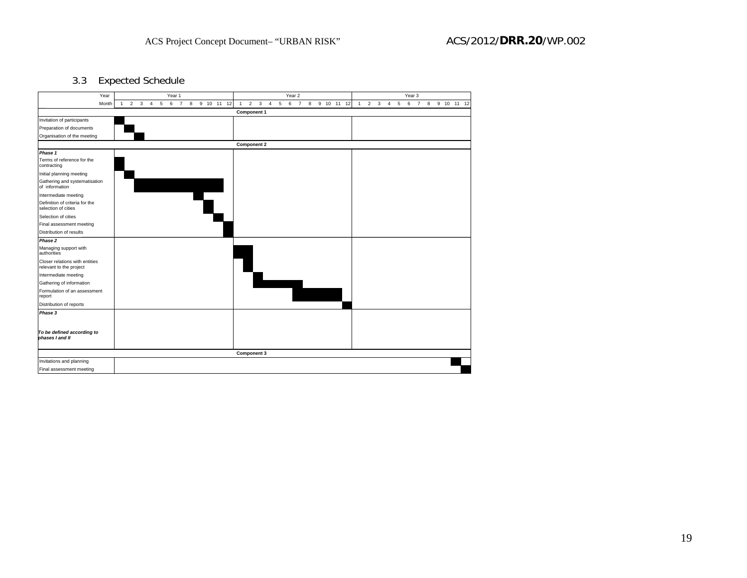3.3 Expected Schedule

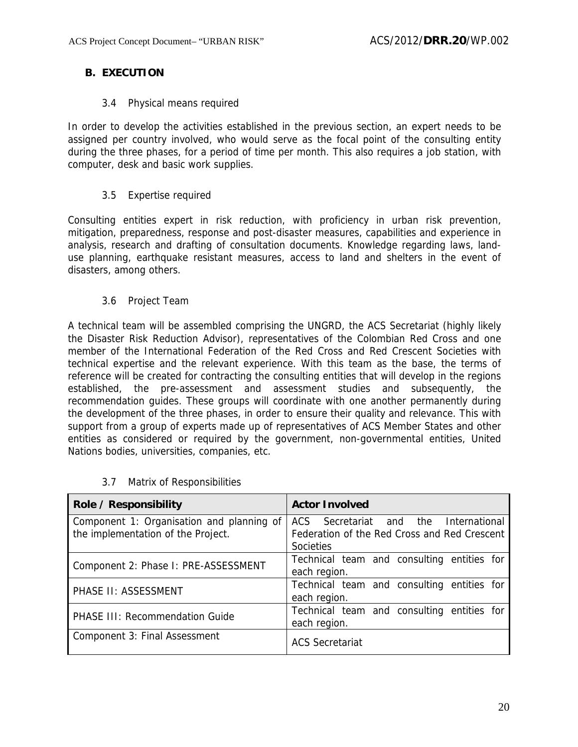## **B. EXECUTION**

### 3.4 Physical means required

In order to develop the activities established in the previous section, an expert needs to be assigned per country involved, who would serve as the focal point of the consulting entity during the three phases, for a period of time per month. This also requires a job station, with computer, desk and basic work supplies.

### 3.5 Expertise required

Consulting entities expert in risk reduction, with proficiency in urban risk prevention, mitigation, preparedness, response and post-disaster measures, capabilities and experience in analysis, research and drafting of consultation documents. Knowledge regarding laws, landuse planning, earthquake resistant measures, access to land and shelters in the event of disasters, among others.

### 3.6 Project Team

A technical team will be assembled comprising the UNGRD, the ACS Secretariat (highly likely the Disaster Risk Reduction Advisor), representatives of the Colombian Red Cross and one member of the International Federation of the Red Cross and Red Crescent Societies with technical expertise and the relevant experience. With this team as the base, the terms of reference will be created for contracting the consulting entities that will develop in the regions established, the pre-assessment and assessment studies and subsequently, the recommendation guides. These groups will coordinate with one another permanently during the development of the three phases, in order to ensure their quality and relevance. This with support from a group of experts made up of representatives of ACS Member States and other entities as considered or required by the government, non-governmental entities, United Nations bodies, universities, companies, etc.

| Role / Responsibility                                                           | <b>Actor Involved</b>                                                                              |  |  |  |
|---------------------------------------------------------------------------------|----------------------------------------------------------------------------------------------------|--|--|--|
| Component 1: Organisation and planning of<br>the implementation of the Project. | ACS Secretariat and the International<br>Federation of the Red Cross and Red Crescent<br>Societies |  |  |  |
| Component 2: Phase I: PRE-ASSESSMENT                                            | Technical team and consulting entities for<br>each region.                                         |  |  |  |
| PHASE II: ASSESSMENT                                                            | Technical team and consulting entities for<br>each region.                                         |  |  |  |
| PHASE III: Recommendation Guide                                                 | Technical team and consulting entities for<br>each region.                                         |  |  |  |
| Component 3: Final Assessment                                                   | <b>ACS Secretariat</b>                                                                             |  |  |  |

### 3.7 Matrix of Responsibilities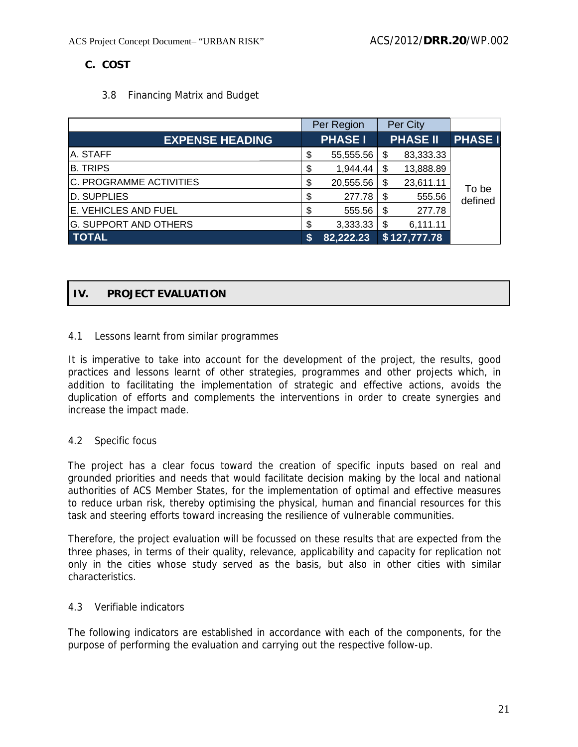## **C. COST**

### 3.8 Financing Matrix and Budget

|                              | Per Region      |    | Per City        |                |
|------------------------------|-----------------|----|-----------------|----------------|
| <b>EXPENSE HEADING</b>       | <b>PHASE I</b>  |    | <b>PHASE II</b> | <b>PHASE I</b> |
| <b>A. STAFF</b>              | \$<br>55,555.56 | S  | 83,333.33       |                |
| <b>B. TRIPS</b>              | \$<br>1,944.44  | \$ | 13,888.89       |                |
| C. PROGRAMME ACTIVITIES      | \$<br>20,555.56 | S  | 23,611.11       | To be          |
| D. SUPPLIES                  | 277.78          | S  | 555.56          | defined        |
| E. VEHICLES AND FUEL         | \$<br>555.56    | \$ | 277.78          |                |
| <b>G. SUPPORT AND OTHERS</b> | \$<br>3,333.33  | \$ | 6,111.11        |                |
| <b>TOTAL</b>                 | 82,222.23       |    | \$127,777.78    |                |

## **IV. PROJECT EVALUATION**

### 4.1 Lessons learnt from similar programmes

It is imperative to take into account for the development of the project, the results, good practices and lessons learnt of other strategies, programmes and other projects which, in addition to facilitating the implementation of strategic and effective actions, avoids the duplication of efforts and complements the interventions in order to create synergies and increase the impact made.

### 4.2 Specific focus

The project has a clear focus toward the creation of specific inputs based on real and grounded priorities and needs that would facilitate decision making by the local and national authorities of ACS Member States, for the implementation of optimal and effective measures to reduce urban risk, thereby optimising the physical, human and financial resources for this task and steering efforts toward increasing the resilience of vulnerable communities.

Therefore, the project evaluation will be focussed on these results that are expected from the three phases, in terms of their quality, relevance, applicability and capacity for replication not only in the cities whose study served as the basis, but also in other cities with similar characteristics.

### 4.3 Verifiable indicators

The following indicators are established in accordance with each of the components, for the purpose of performing the evaluation and carrying out the respective follow-up.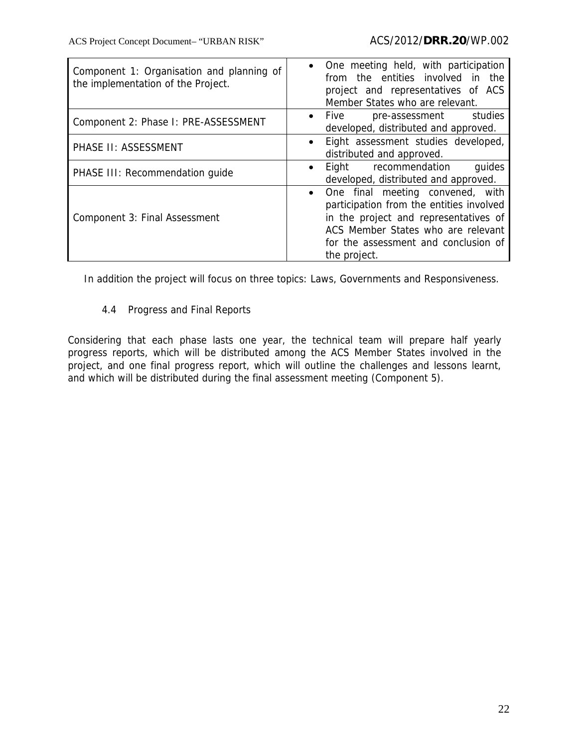| Component 1: Organisation and planning of<br>the implementation of the Project. | • One meeting held, with participation<br>from the entities involved in the<br>project and representatives of ACS<br>Member States who are relevant.                                                                |  |  |
|---------------------------------------------------------------------------------|---------------------------------------------------------------------------------------------------------------------------------------------------------------------------------------------------------------------|--|--|
| Component 2: Phase I: PRE-ASSESSMENT                                            | studies<br>$\bullet$ Five<br>pre-assessment<br>developed, distributed and approved.                                                                                                                                 |  |  |
| PHASE II: ASSESSMENT                                                            | Eight assessment studies developed,<br>distributed and approved.                                                                                                                                                    |  |  |
| PHASE III: Recommendation guide                                                 | guides<br>recommendation<br>Eight<br>developed, distributed and approved.                                                                                                                                           |  |  |
| Component 3: Final Assessment                                                   | One final meeting convened, with<br>participation from the entities involved<br>in the project and representatives of<br>ACS Member States who are relevant<br>for the assessment and conclusion of<br>the project. |  |  |

In addition the project will focus on three topics: Laws, Governments and Responsiveness.

## 4.4 Progress and Final Reports

Considering that each phase lasts one year, the technical team will prepare half yearly progress reports, which will be distributed among the ACS Member States involved in the project, and one final progress report, which will outline the challenges and lessons learnt, and which will be distributed during the final assessment meeting (Component 5).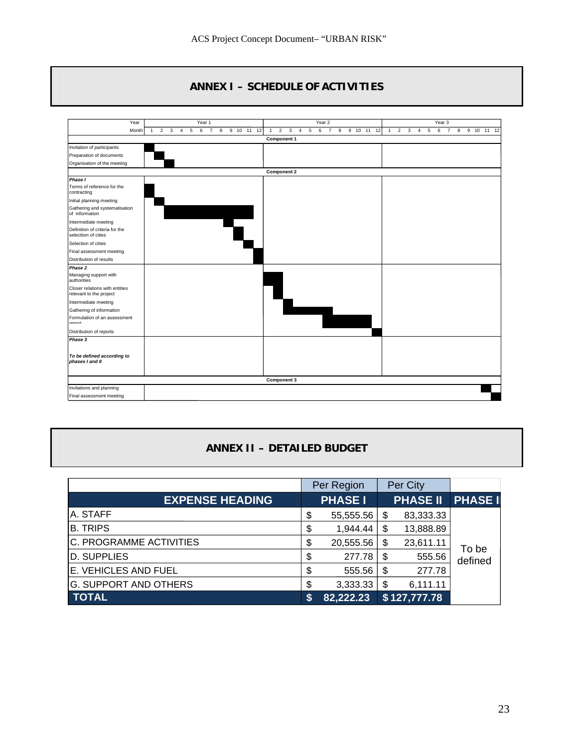## **ANNEX I – SCHEDULE OF ACTIVITIES**



## **ANNEX II – DETAILED BUDGET**

|                              |    | Per Region     |    | Per City        |                |
|------------------------------|----|----------------|----|-----------------|----------------|
| <b>EXPENSE HEADING</b>       |    | <b>PHASE I</b> |    | <b>PHASE II</b> | <b>PHASE I</b> |
| A. STAFF                     | \$ | 55,555.56      | S  | 83,333.33       |                |
| <b>B. TRIPS</b>              | \$ | 1,944.44       | S  | 13,888.89       |                |
| C. PROGRAMME ACTIVITIES      | \$ | 20,555.56      | \$ | 23,611.11       | To be          |
| <b>D. SUPPLIES</b>           | \$ | 277.78         | \$ | 555.56          | defined        |
| E. VEHICLES AND FUEL         | \$ | 555.56         | \$ | 277.78          |                |
| <b>G. SUPPORT AND OTHERS</b> | \$ | 3,333.33       | S  | 6,111.11        |                |
| <b>TOTAL</b>                 | S  | 82,222.23      |    | \$127,777.78    |                |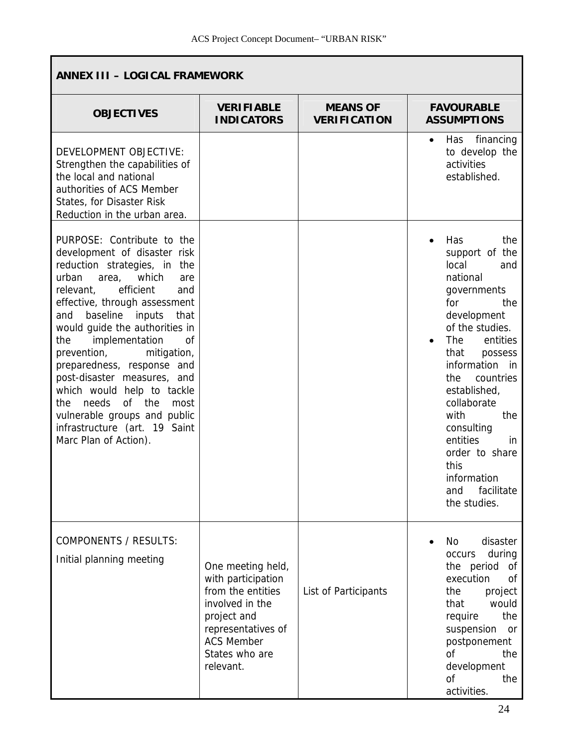| <b>ANNEX III - LOGICAL FRAMEWORK</b>                                                                                                                                                                                                                                                                                                                                                                                                                                                                                                                      |                                                                                                                                                                          |                                        |                                                                                                                                                                                                                                                                                                                                                                                               |  |  |  |
|-----------------------------------------------------------------------------------------------------------------------------------------------------------------------------------------------------------------------------------------------------------------------------------------------------------------------------------------------------------------------------------------------------------------------------------------------------------------------------------------------------------------------------------------------------------|--------------------------------------------------------------------------------------------------------------------------------------------------------------------------|----------------------------------------|-----------------------------------------------------------------------------------------------------------------------------------------------------------------------------------------------------------------------------------------------------------------------------------------------------------------------------------------------------------------------------------------------|--|--|--|
| <b>OBJECTIVES</b>                                                                                                                                                                                                                                                                                                                                                                                                                                                                                                                                         | <b>VERIFIABLE</b><br><b>INDICATORS</b>                                                                                                                                   | <b>MEANS OF</b><br><b>VERIFICATION</b> | <b>FAVOURABLE</b><br><b>ASSUMPTIONS</b>                                                                                                                                                                                                                                                                                                                                                       |  |  |  |
| DEVELOPMENT OBJECTIVE:<br>Strengthen the capabilities of<br>the local and national<br>authorities of ACS Member<br>States, for Disaster Risk<br>Reduction in the urban area.                                                                                                                                                                                                                                                                                                                                                                              |                                                                                                                                                                          |                                        | financing<br>Has<br>$\bullet$<br>to develop the<br>activities<br>established.                                                                                                                                                                                                                                                                                                                 |  |  |  |
| PURPOSE: Contribute to the<br>development of disaster risk<br>reduction strategies, in the<br>urban<br>which<br>area,<br>are<br>efficient<br>relevant,<br>and<br>effective, through assessment<br>baseline<br>inputs<br>that<br>and<br>would guide the authorities in<br>implementation<br>the<br>0f<br>mitigation,<br>prevention,<br>preparedness, response and<br>post-disaster measures, and<br>which would help to tackle<br>of the<br>needs<br>the<br>most<br>vulnerable groups and public<br>infrastructure (art. 19 Saint<br>Marc Plan of Action). |                                                                                                                                                                          |                                        | Has<br>the<br>$\bullet$<br>support of the<br>local<br>and<br>national<br>governments<br>for<br>the<br>development<br>of the studies.<br>The<br>entities<br>$\bullet$<br>that<br>possess<br>information<br>in<br>the<br>countries<br>established,<br>collaborate<br>with<br>the<br>consulting<br>entities<br>in.<br>order to share<br>this<br>information<br>facilitate<br>and<br>the studies. |  |  |  |
| <b>COMPONENTS / RESULTS:</b><br>Initial planning meeting                                                                                                                                                                                                                                                                                                                                                                                                                                                                                                  | One meeting held,<br>with participation<br>from the entities<br>involved in the<br>project and<br>representatives of<br><b>ACS Member</b><br>States who are<br>relevant. | List of Participants                   | disaster<br>No<br>during<br>occurs<br>the period of<br>execution<br>οf<br>project<br>the<br>would<br>that<br>the<br>require<br>suspension<br>or<br>postponement<br>οf<br>the<br>development<br><sub>of</sub><br>the<br>activities.                                                                                                                                                            |  |  |  |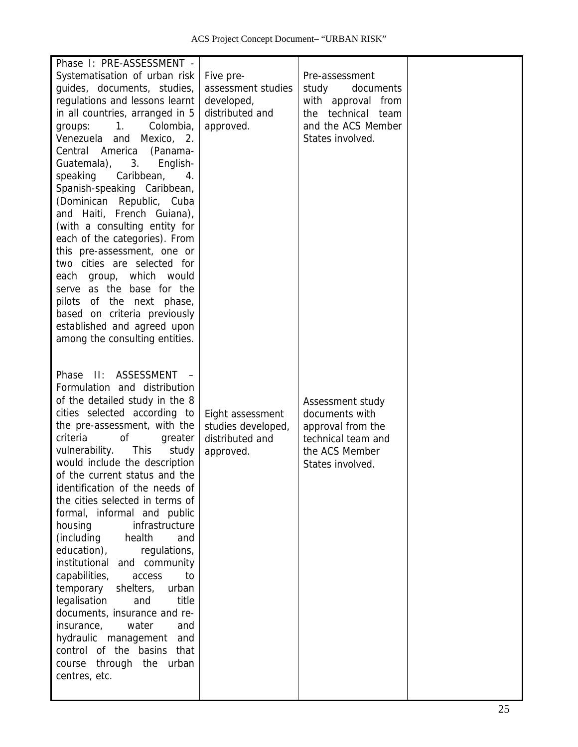| Phase I: PRE-ASSESSMENT -                                                                                                                                                                                                                                                                                                                                                                                                                                                                                                                                                                                                                                                                                                                                                                                                           |                                                                               |                                                                                                                               |  |
|-------------------------------------------------------------------------------------------------------------------------------------------------------------------------------------------------------------------------------------------------------------------------------------------------------------------------------------------------------------------------------------------------------------------------------------------------------------------------------------------------------------------------------------------------------------------------------------------------------------------------------------------------------------------------------------------------------------------------------------------------------------------------------------------------------------------------------------|-------------------------------------------------------------------------------|-------------------------------------------------------------------------------------------------------------------------------|--|
| Systematisation of urban risk<br>guides, documents, studies,<br>regulations and lessons learnt<br>in all countries, arranged in 5<br>Colombia,<br>1.<br>groups:<br>Venezuela and Mexico, 2.<br>Central America (Panama-<br>Guatemala), 3.<br>English-<br>speaking<br>Caribbean,<br>4.<br>Spanish-speaking Caribbean,<br>(Dominican Republic, Cuba<br>and Haiti, French Guiana),<br>(with a consulting entity for<br>each of the categories). From<br>this pre-assessment, one or<br>two cities are selected for<br>each group, which would<br>serve as the base for the<br>pilots of the next phase,<br>based on criteria previously<br>established and agreed upon<br>among the consulting entities.                                                                                                                               | Five pre-<br>assessment studies<br>developed,<br>distributed and<br>approved. | Pre-assessment<br>study<br>documents<br>with approval from<br>technical team<br>the<br>and the ACS Member<br>States involved. |  |
| II: ASSESSMENT -<br>Phase<br>Formulation and distribution<br>of the detailed study in the 8<br>cities selected according to<br>the pre-assessment, with the<br>criteria<br>0f<br>greater<br>vulnerability.<br><b>This</b><br>study<br>would include the description<br>of the current status and the<br>identification of the needs of<br>the cities selected in terms of<br>formal, informal and public<br>infrastructure<br>housing<br>(including<br>health<br>and<br>education),<br>regulations,<br>institutional<br>and community<br>capabilities,<br>to<br>access<br>temporary<br>shelters,<br>urban<br>legalisation<br>title<br>and<br>documents, insurance and re-<br>water<br>insurance,<br>and<br>hydraulic<br>management<br>and<br>control of the<br>basins<br>that<br>through<br>the<br>course<br>urban<br>centres, etc. | Eight assessment<br>studies developed,<br>distributed and<br>approved.        | Assessment study<br>documents with<br>approval from the<br>technical team and<br>the ACS Member<br>States involved.           |  |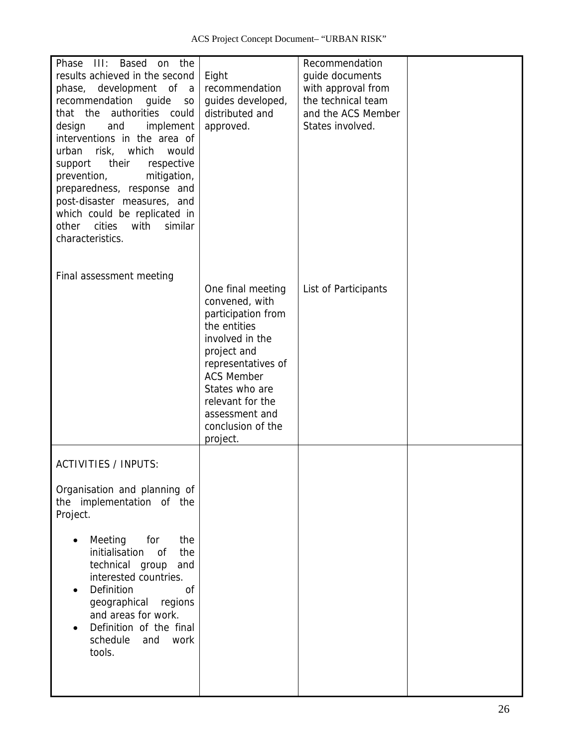| Phase<br>III:<br>Based<br>the<br>on<br>results achieved in the second<br>phase, development of<br><sub>a</sub><br>recommendation<br>guide<br>S <sub>O</sub><br>that the authorities<br>could<br>design<br>and<br>implement<br>interventions in the area of<br>risk, which<br>urban<br>would<br>their<br>respective<br>support<br>mitigation,<br>prevention,<br>preparedness, response and<br>post-disaster measures, and<br>which could be replicated in<br>cities<br>similar<br>with<br>other<br>characteristics. | Eight<br>recommendation<br>guides developed,<br>distributed and<br>approved.                                                                                                                                                                    | Recommendation<br>guide documents<br>with approval from<br>the technical team<br>and the ACS Member<br>States involved. |  |
|--------------------------------------------------------------------------------------------------------------------------------------------------------------------------------------------------------------------------------------------------------------------------------------------------------------------------------------------------------------------------------------------------------------------------------------------------------------------------------------------------------------------|-------------------------------------------------------------------------------------------------------------------------------------------------------------------------------------------------------------------------------------------------|-------------------------------------------------------------------------------------------------------------------------|--|
| Final assessment meeting                                                                                                                                                                                                                                                                                                                                                                                                                                                                                           | One final meeting<br>convened, with<br>participation from<br>the entities<br>involved in the<br>project and<br>representatives of<br><b>ACS Member</b><br>States who are<br>relevant for the<br>assessment and<br>conclusion of the<br>project. | List of Participants                                                                                                    |  |
| <b>ACTIVITIES / INPUTS:</b><br>Organisation and planning of<br>the implementation of the<br>Project.<br>Meeting<br>for<br>the<br>initialisation<br>the<br>οf<br>technical group<br>and<br>interested countries.<br><b>Definition</b><br><sub>of</sub><br>geographical<br>regions<br>and areas for work.<br>Definition of the final<br>schedule<br>work<br>and<br>tools.                                                                                                                                            |                                                                                                                                                                                                                                                 |                                                                                                                         |  |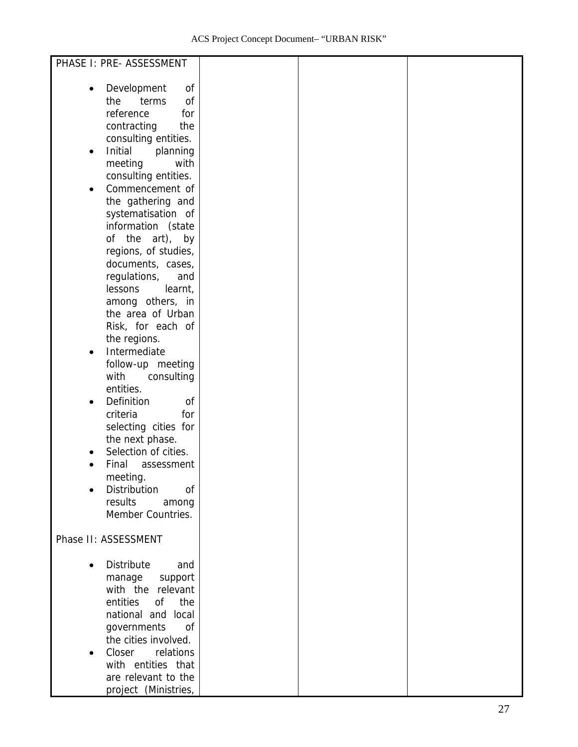| PHASE I: PRE- ASSESSMENT         |  |  |
|----------------------------------|--|--|
|                                  |  |  |
| Development<br>οf<br>$\bullet$   |  |  |
| 0f<br>the<br>terms               |  |  |
|                                  |  |  |
| reference<br>for                 |  |  |
| contracting<br>the               |  |  |
| consulting entities.             |  |  |
| Initial<br>planning<br>$\bullet$ |  |  |
| meeting<br>with                  |  |  |
| consulting entities.             |  |  |
| Commencement of<br>$\bullet$     |  |  |
| the gathering and                |  |  |
| systematisation of               |  |  |
| information (state               |  |  |
| of the art), by                  |  |  |
| regions, of studies,             |  |  |
| documents, cases,                |  |  |
| regulations,<br>and              |  |  |
| lessons<br>learnt,               |  |  |
| among others, in                 |  |  |
| the area of Urban                |  |  |
| Risk, for each of                |  |  |
| the regions.                     |  |  |
| Intermediate<br>$\bullet$        |  |  |
| follow-up meeting                |  |  |
| with<br>consulting               |  |  |
| entities.                        |  |  |
| Definition<br>οf<br>$\bullet$    |  |  |
| criteria<br>for                  |  |  |
| selecting cities for             |  |  |
| the next phase.                  |  |  |
| Selection of cities.             |  |  |
| Final<br>assessment              |  |  |
|                                  |  |  |
| meeting.                         |  |  |
| Distribution<br>0f               |  |  |
| results<br>among                 |  |  |
| Member Countries.                |  |  |
|                                  |  |  |
| Phase II: ASSESSMENT             |  |  |
|                                  |  |  |
| <b>Distribute</b><br>and         |  |  |
| manage<br>support                |  |  |
| with the relevant                |  |  |
| entities<br>0f<br>the            |  |  |
| national and local               |  |  |
| governments<br>0f                |  |  |
| the cities involved.             |  |  |
| Closer<br>relations              |  |  |
| with entities that               |  |  |
| are relevant to the              |  |  |
| project (Ministries,             |  |  |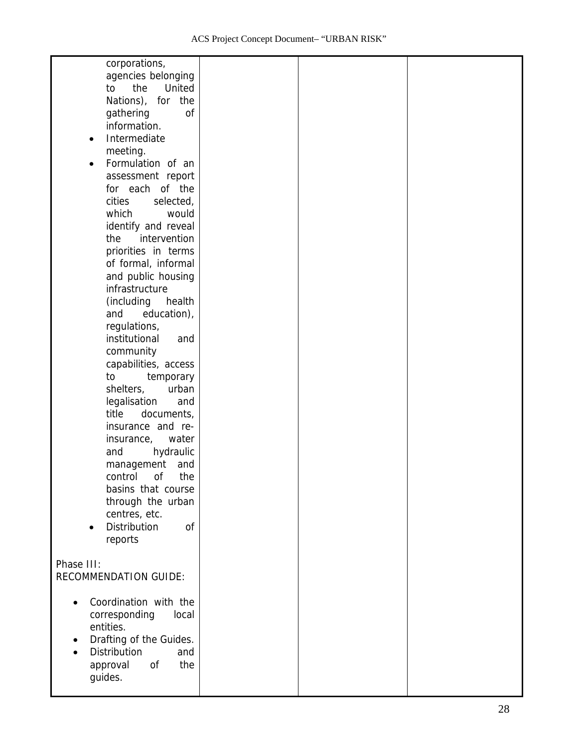| corporations,<br>agencies belonging<br>the<br>United<br>to<br>Nations), for the<br>gathering<br><sub>of</sub><br>information.<br>Intermediate<br>$\bullet$<br>meeting.<br>Formulation of an<br>$\bullet$<br>assessment report<br>for each of the<br>cities<br>selected,<br>which<br>would<br>identify and reveal<br>intervention<br>the<br>priorities in terms<br>of formal, informal<br>and public housing<br>infrastructure<br>(including<br>health<br>education),<br>and<br>regulations,<br>institutional<br>and<br>community<br>capabilities, access<br>to<br>temporary<br>shelters,<br>urban<br>legalisation<br>and<br>title<br>documents,<br>insurance and re-<br>insurance,<br>water<br>hydraulic<br>and<br>management<br>and<br>the<br>control of<br>basins that course<br>through the urban<br>centres, etc.<br>Distribution<br>of<br>reports |  |  |
|--------------------------------------------------------------------------------------------------------------------------------------------------------------------------------------------------------------------------------------------------------------------------------------------------------------------------------------------------------------------------------------------------------------------------------------------------------------------------------------------------------------------------------------------------------------------------------------------------------------------------------------------------------------------------------------------------------------------------------------------------------------------------------------------------------------------------------------------------------|--|--|
| Phase III:<br><b>RECOMMENDATION GUIDE:</b>                                                                                                                                                                                                                                                                                                                                                                                                                                                                                                                                                                                                                                                                                                                                                                                                             |  |  |
| Coordination with the<br>corresponding<br>local<br>entities.<br>Drafting of the Guides.<br>Distribution<br>and<br>the<br>approval<br>0f<br>guides.                                                                                                                                                                                                                                                                                                                                                                                                                                                                                                                                                                                                                                                                                                     |  |  |